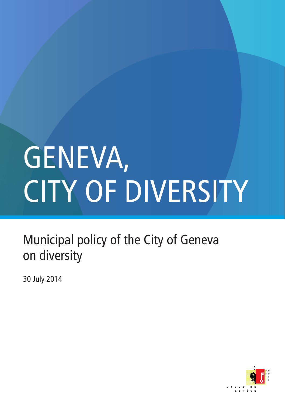## GENEVA, CITY OF DIVERSITY

Municipal policy of the City of Geneva on diversity

30 July 2014

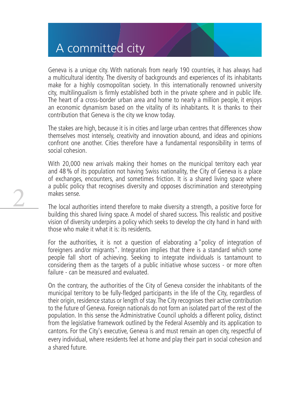## A committed city

2

Geneva is a unique city. With nationals from nearly 190 countries, it has always had a multicultural identity. The diversity of backgrounds and experiences of its inhabitants make for a highly cosmopolitan society. In this internationally renowned university city, multilingualism is firmly established both in the private sphere and in public life. The heart of a cross-border urban area and home to nearly a million people, it enjoys an economic dynamism based on the vitality of its inhabitants. It is thanks to their contribution that Geneva is the city we know today.

The stakes are high, because it is in cities and large urban centres that differences show themselves most intensely, creativity and innovation abound, and ideas and opinions confront one another. Cities therefore have a fundamental responsibility in terms of social cohesion.

With 20,000 new arrivals making their homes on the municipal territory each year and 48 % of its population not having Swiss nationality, the City of Geneva is a place of exchanges, encounters, and sometimes friction. It is a shared living space where a public policy that recognises diversity and opposes discrimination and stereotyping makes sense.

The local authorities intend therefore to make diversity a strength, a positive force for building this shared living space. A model of shared success. This realistic and positive vision of diversity underpins a policy which seeks to develop the city hand in hand with those who make it what it is: its residents.

For the authorities, it is not a question of elaborating a "policy of integration of foreigners and/or migrants". Integration implies that there is a standard which some people fall short of achieving. Seeking to integrate individuals is tantamount to considering them as the targets of a public initiative whose success - or more often failure - can be measured and evaluated.

On the contrary, the authorities of the City of Geneva consider the inhabitants of the municipal territory to be fully-fledged participants in the life of the City, regardless of their origin, residence status or length of stay. The City recognises their active contribution to the future of Geneva. Foreign nationals do not form an isolated part of the rest of the population. In this sense the Administrative Council upholds a different policy, distinct from the legislative framework outlined by the Federal Assembly and its application to cantons. For the City's executive, Geneva is and must remain an open city, respectful of every individual, where residents feel at home and play their part in social cohesion and a shared future.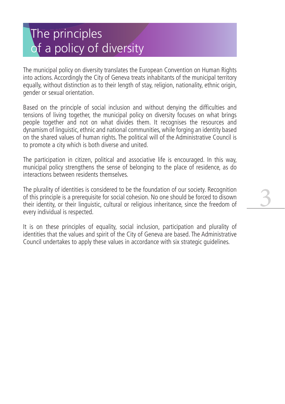## The principles of a policy of diversity

The municipal policy on diversity translates the European Convention on Human Rights into actions. Accordingly the City of Geneva treats inhabitants of the municipal territory equally, without distinction as to their length of stay, religion, nationality, ethnic origin, gender or sexual orientation.

Based on the principle of social inclusion and without denying the difficulties and tensions of living together, the municipal policy on diversity focuses on what brings people together and not on what divides them. It recognises the resources and dynamism of linguistic, ethnic and national communities, while forging an identity based on the shared values of human rights. The political will of the Administrative Council is to promote a city which is both diverse and united.

The participation in citizen, political and associative life is encouraged. In this way, municipal policy strengthens the sense of belonging to the place of residence, as do interactions between residents themselves.

The plurality of identities is considered to be the foundation of our society. Recognition of this principle is a prerequisite for social cohesion. No one should be forced to disown their identity, or their linguistic, cultural or religious inheritance, since the freedom of every individual is respected.

3

It is on these principles of equality, social inclusion, participation and plurality of identities that the values and spirit of the City of Geneva are based. The Administrative Council undertakes to apply these values in accordance with six strategic guidelines.